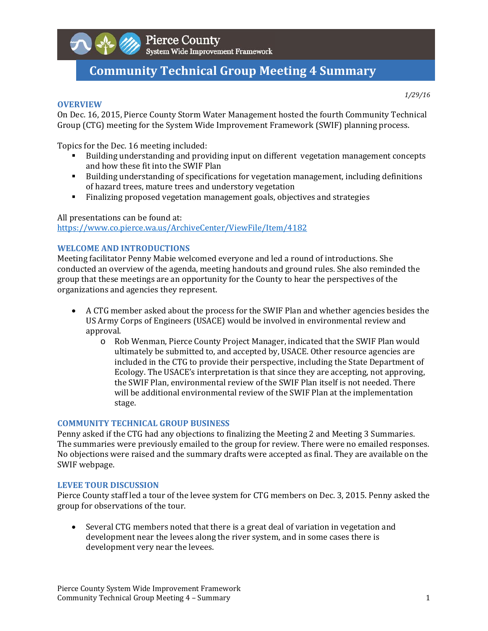

# **Community Technical Group Meeting 4 Summary**

#### **OVERVIEW**

*1/29/16*

On Dec. 16, 2015, Pierce County Storm Water Management hosted the fourth Community Technical Group (CTG) meeting for the System Wide Improvement Framework (SWIF) planning process.

Topics for the Dec. 16 meeting included:

- If Building understanding and providing input on different vegetation management concepts and how these fit into the SWIF Plan
- **Building understanding of specifications for vegetation management, including definitions** of hazard trees, mature trees and understory vegetation
- Finalizing proposed vegetation management goals, objectives and strategies

#### All presentations can be found at:

https://www.co.pierce.wa.us/ArchiveCenter/ViewFile/Item/4182 

#### **WELCOME AND INTRODUCTIONS**

Meeting facilitator Penny Mabie welcomed everyone and led a round of introductions. She conducted an overview of the agenda, meeting handouts and ground rules. She also reminded the group that these meetings are an opportunity for the County to hear the perspectives of the organizations and agencies they represent.

- A CTG member asked about the process for the SWIF Plan and whether agencies besides the US Army Corps of Engineers (USACE) would be involved in environmental review and approval.
	- o Rob Wenman, Pierce County Project Manager, indicated that the SWIF Plan would ultimately be submitted to, and accepted by, USACE. Other resource agencies are included in the CTG to provide their perspective, including the State Department of Ecology. The USACE's interpretation is that since they are accepting, not approving, the SWIF Plan, environmental review of the SWIF Plan itself is not needed. There will be additional environmental review of the SWIF Plan at the implementation stage.

#### **COMMUNITY TECHNICAL GROUP BUSINESS**

Penny asked if the CTG had any objections to finalizing the Meeting 2 and Meeting 3 Summaries. The summaries were previously emailed to the group for review. There were no emailed responses. No objections were raised and the summary drafts were accepted as final. They are available on the SWIF webpage.

#### **LEVEE TOUR DISCUSSION**

Pierce County staff led a tour of the levee system for CTG members on Dec. 3, 2015. Penny asked the group for observations of the tour.

• Several CTG members noted that there is a great deal of variation in vegetation and development near the levees along the river system, and in some cases there is development very near the levees.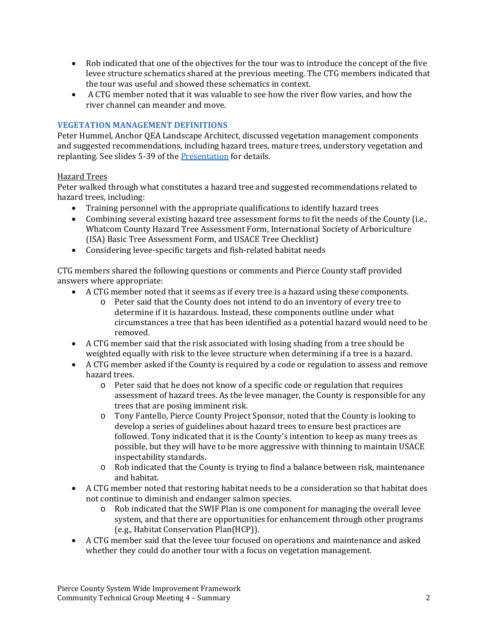- Rob indicated that one of the objectives for the tour was to introduce the concept of the five levee structure schematics shared at the previous meeting. The CTG members indicated that the tour was useful and showed these schematics in context.
- A CTG member noted that it was valuable to see how the river flow varies, and how the river channel can meander and move.

## **VEGETATION MANAGEMENT DEFINITIONS**

Peter Hummel, Anchor QEA Landscape Architect, discussed vegetation management components and suggested recommendations, including hazard trees, mature trees, understory vegetation and replanting. See slides 5-39 of the Presentation for details.

#### Hazard Trees

Peter walked through what constitutes a hazard tree and suggested recommendations related to hazard trees, including:

- Training personnel with the appropriate qualifications to identify hazard trees
- Combining several existing hazard tree assessment forms to fit the needs of the County (i.e., Whatcom County Hazard Tree Assessment Form, International Society of Arboriculture (ISA) Basic Tree Assessment Form, and USACE Tree Checklist)
- Considering levee-specific targets and fish-related habitat needs

CTG members shared the following questions or comments and Pierce County staff provided answers where appropriate:

- A CTG member noted that it seems as if every tree is a hazard using these components.
	- o Peter said that the County does not intend to do an inventory of every tree to determine if it is hazardous. Instead, these components outline under what circumstances a tree that has been identified as a potential hazard would need to be removed.
- A CTG member said that the risk associated with losing shading from a tree should be weighted equally with risk to the levee structure when determining if a tree is a hazard.
- A CTG member asked if the County is required by a code or regulation to assess and remove hazard trees.
	- $\circ$  Peter said that he does not know of a specific code or regulation that requires assessment of hazard trees. As the levee manager, the County is responsible for any trees that are posing imminent risk.
	- o Tony Fantello, Pierce County Project Sponsor, noted that the County is looking to develop a series of guidelines about hazard trees to ensure best practices are followed. Tony indicated that it is the County's intention to keep as many trees as possible, but they will have to be more aggressive with thinning to maintain USACE inspectability standards.
	- $\circ$  Rob indicated that the County is trying to find a balance between risk, maintenance and habitat.
- A CTG member noted that restoring habitat needs to be a consideration so that habitat does not continue to diminish and endanger salmon species.
	- o Rob indicated that the SWIF Plan is one component for managing the overall levee system, and that there are opportunities for enhancement through other programs (e.g., Habitat Conservation Plan(HCP)).
- A CTG member said that the levee tour focused on operations and maintenance and asked whether they could do another tour with a focus on vegetation management.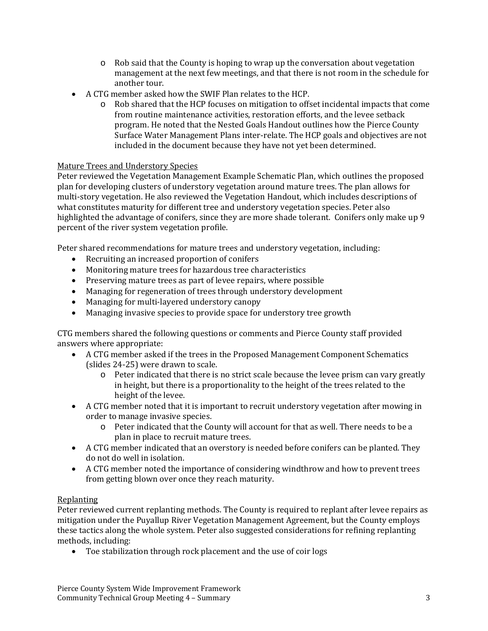- $\circ$  Rob said that the County is hoping to wrap up the conversation about vegetation management at the next few meetings, and that there is not room in the schedule for another tour.
- A CTG member asked how the SWIF Plan relates to the HCP.
	- $\circ$  Rob shared that the HCP focuses on mitigation to offset incidental impacts that come from routine maintenance activities, restoration efforts, and the levee setback program. He noted that the Nested Goals Handout outlines how the Pierce County Surface Water Management Plans inter-relate. The HCP goals and objectives are not included in the document because they have not yet been determined.

## Mature Trees and Understory Species

Peter reviewed the Vegetation Management Example Schematic Plan, which outlines the proposed plan for developing clusters of understory vegetation around mature trees. The plan allows for multi-story vegetation. He also reviewed the Vegetation Handout, which includes descriptions of what constitutes maturity for different tree and understory vegetation species. Peter also highlighted the advantage of conifers, since they are more shade tolerant. Conifers only make up 9 percent of the river system vegetation profile.

Peter shared recommendations for mature trees and understory vegetation, including:

- Recruiting an increased proportion of conifers
- Monitoring mature trees for hazardous tree characteristics
- Preserving mature trees as part of levee repairs, where possible
- Managing for regeneration of trees through understory development
- Managing for multi-layered understory canopy
- Managing invasive species to provide space for understory tree growth

CTG members shared the following questions or comments and Pierce County staff provided answers where appropriate:

- A CTG member asked if the trees in the Proposed Management Component Schematics (slides  $24-25$ ) were drawn to scale.
	- $\circ$  Peter indicated that there is no strict scale because the levee prism can vary greatly in height, but there is a proportionality to the height of the trees related to the height of the levee.
- A CTG member noted that it is important to recruit understory vegetation after mowing in order to manage invasive species.
	- $\circ$  Peter indicated that the County will account for that as well. There needs to be a plan in place to recruit mature trees.
- A CTG member indicated that an overstory is needed before conifers can be planted. They do not do well in isolation.
- A CTG member noted the importance of considering windthrow and how to prevent trees from getting blown over once they reach maturity.

#### Replanting

Peter reviewed current replanting methods. The County is required to replant after levee repairs as mitigation under the Puyallup River Vegetation Management Agreement, but the County employs these tactics along the whole system. Peter also suggested considerations for refining replanting methods, including:

• Toe stabilization through rock placement and the use of coir logs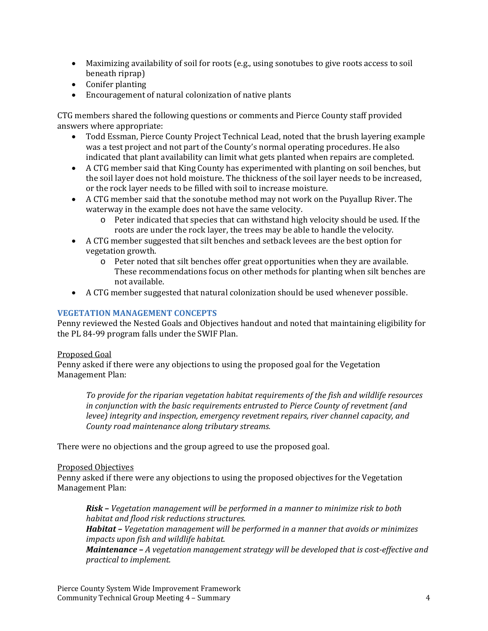- Maximizing availability of soil for roots (e.g., using sonotubes to give roots access to soil beneath riprap)
- Conifer planting
- Encouragement of natural colonization of native plants

CTG members shared the following questions or comments and Pierce County staff provided answers where appropriate:

- Todd Essman, Pierce County Project Technical Lead, noted that the brush layering example was a test project and not part of the County's normal operating procedures. He also indicated that plant availability can limit what gets planted when repairs are completed.
- A CTG member said that King County has experimented with planting on soil benches, but the soil layer does not hold moisture. The thickness of the soil layer needs to be increased, or the rock layer needs to be filled with soil to increase moisture.
- A CTG member said that the sonotube method may not work on the Puyallup River. The waterway in the example does not have the same velocity.
	- o Peter indicated that species that can withstand high velocity should be used. If the roots are under the rock layer, the trees may be able to handle the velocity.
- A CTG member suggested that silt benches and setback levees are the best option for vegetation growth.
	- $\circ$  Peter noted that silt benches offer great opportunities when they are available. These recommendations focus on other methods for planting when silt benches are not available.
- A CTG member suggested that natural colonization should be used whenever possible.

### **VEGETATION MANAGEMENT CONCEPTS**

Penny reviewed the Nested Goals and Objectives handout and noted that maintaining eligibility for the PL 84-99 program falls under the SWIF Plan.

#### Proposed Goal

Penny asked if there were any objections to using the proposed goal for the Vegetation Management Plan:

*To provide for the riparian vegetation habitat requirements of the fish and wildlife resources in conjunction with the basic requirements entrusted to Pierce County of revetment (and levee) integrity and inspection, emergency revetment repairs, river channel capacity, and County road maintenance along tributary streams.*

There were no objections and the group agreed to use the proposed goal.

#### Proposed Objectives

Penny asked if there were any objections to using the proposed objectives for the Vegetation Management Plan:

*Risk – Vegetation management will be performed in a manner to minimize risk to both habitat and flood risk reductions structures. Habitat – Vegetation management will be performed in a manner that avoids or minimizes impacts upon fish and wildlife habitat.*

*Maintenance – A vegetation management strategy will be developed that is cost‐effective and practical to implement.*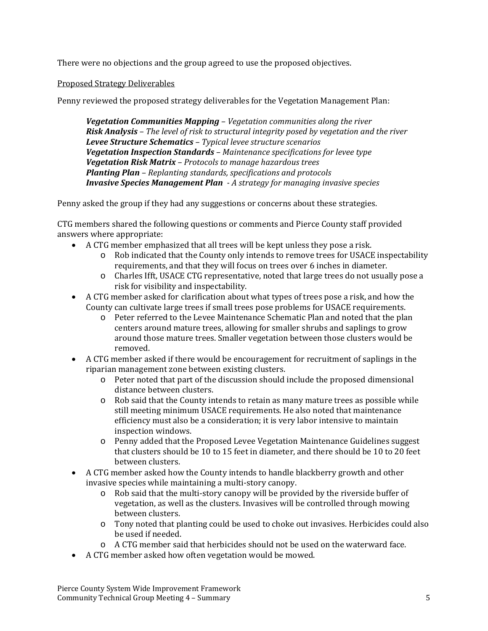There were no objections and the group agreed to use the proposed objectives.

## Proposed Strategy Deliverables

Penny reviewed the proposed strategy deliverables for the Vegetation Management Plan:

*Vegetation Communities Mapping – Vegetation communities along the river Risk Analysis – The level of risk to structural integrity posed by vegetation and the river Levee Structure Schematics – Typical levee structure scenarios Vegetation Inspection Standards – Maintenance specifications for levee type Vegetation Risk Matrix – Protocols to manage hazardous trees Planting Plan – Replanting standards, specifications and protocols Invasive Species Management Plan ‐ A strategy for managing invasive species*

Penny asked the group if they had any suggestions or concerns about these strategies.

CTG members shared the following questions or comments and Pierce County staff provided answers where appropriate:

- A CTG member emphasized that all trees will be kept unless they pose a risk.
	- $\circ$  Rob indicated that the County only intends to remove trees for USACE inspectability requirements, and that they will focus on trees over 6 inches in diameter.
	- o Charles Ifft, USACE CTG representative, noted that large trees do not usually pose a risk for visibility and inspectability.
- A CTG member asked for clarification about what types of trees pose a risk, and how the County can cultivate large trees if small trees pose problems for USACE requirements.
	- $\circ$  Peter referred to the Levee Maintenance Schematic Plan and noted that the plan centers around mature trees, allowing for smaller shrubs and saplings to grow around those mature trees. Smaller vegetation between those clusters would be removed.
- A CTG member asked if there would be encouragement for recruitment of saplings in the riparian management zone between existing clusters.
	- $\circ$  Peter noted that part of the discussion should include the proposed dimensional distance between clusters.
	- $\circ$  Rob said that the County intends to retain as many mature trees as possible while still meeting minimum USACE requirements. He also noted that maintenance efficiency must also be a consideration; it is very labor intensive to maintain inspection windows.
	- $\circ$  Penny added that the Proposed Levee Vegetation Maintenance Guidelines suggest that clusters should be 10 to 15 feet in diameter, and there should be 10 to 20 feet between clusters.
- A CTG member asked how the County intends to handle blackberry growth and other invasive species while maintaining a multi-story canopy.
	- $\circ$  Rob said that the multi-story canopy will be provided by the riverside buffer of vegetation, as well as the clusters. Invasives will be controlled through mowing between clusters.
	- $\circ$  Tony noted that planting could be used to choke out invasives. Herbicides could also be used if needed.
	- $\circ$  A CTG member said that herbicides should not be used on the waterward face.
- A CTG member asked how often vegetation would be mowed.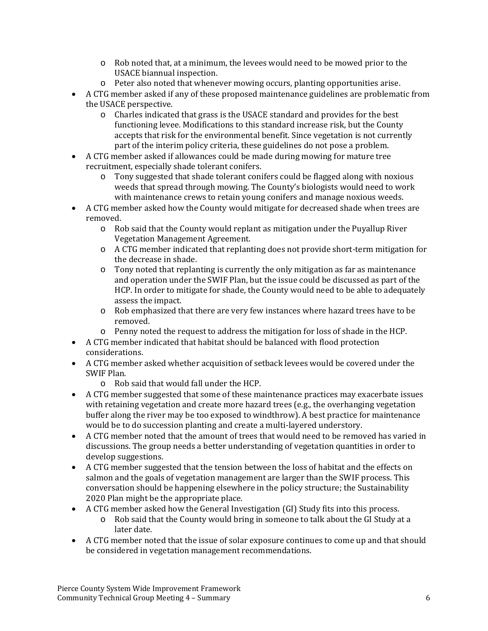- $\circ$  Rob noted that, at a minimum, the levees would need to be mowed prior to the USACE biannual inspection.
- o Peter also noted that whenever mowing occurs, planting opportunities arise.
- A CTG member asked if any of these proposed maintenance guidelines are problematic from the USACE perspective.
	- $\circ$  Charles indicated that grass is the USACE standard and provides for the best functioning levee. Modifications to this standard increase risk, but the County accepts that risk for the environmental benefit. Since vegetation is not currently part of the interim policy criteria, these guidelines do not pose a problem.
- A CTG member asked if allowances could be made during mowing for mature tree recruitment, especially shade tolerant conifers.
	- $\circ$  Tony suggested that shade tolerant conifers could be flagged along with noxious weeds that spread through mowing. The County's biologists would need to work with maintenance crews to retain young conifers and manage noxious weeds.
- A CTG member asked how the County would mitigate for decreased shade when trees are removed.
	- $\circ$  Rob said that the County would replant as mitigation under the Puyallup River Vegetation Management Agreement.
	- o A CTG member indicated that replanting does not provide short-term mitigation for the decrease in shade.
	- $\circ$  Tony noted that replanting is currently the only mitigation as far as maintenance and operation under the SWIF Plan, but the issue could be discussed as part of the HCP. In order to mitigate for shade, the County would need to be able to adequately assess the impact.
	- $\circ$  Rob emphasized that there are very few instances where hazard trees have to be removed.
	- $\circ$  Penny noted the request to address the mitigation for loss of shade in the HCP.
- A CTG member indicated that habitat should be balanced with flood protection considerations.
- A CTG member asked whether acquisition of setback levees would be covered under the SWIF Plan.
	- $\circ$  Rob said that would fall under the HCP.
- A CTG member suggested that some of these maintenance practices may exacerbate issues with retaining vegetation and create more hazard trees  $(e.g., the overhanging vegetation)$ buffer along the river may be too exposed to windthrow). A best practice for maintenance would be to do succession planting and create a multi-layered understory.
- A CTG member noted that the amount of trees that would need to be removed has varied in discussions. The group needs a better understanding of vegetation quantities in order to develop suggestions.
- A CTG member suggested that the tension between the loss of habitat and the effects on salmon and the goals of vegetation management are larger than the SWIF process. This conversation should be happening elsewhere in the policy structure; the Sustainability 2020 Plan might be the appropriate place.
- A CTG member asked how the General Investigation (GI) Study fits into this process.
	- $\circ$  Rob said that the County would bring in someone to talk about the GI Study at a later date.
- A CTG member noted that the issue of solar exposure continues to come up and that should be considered in vegetation management recommendations.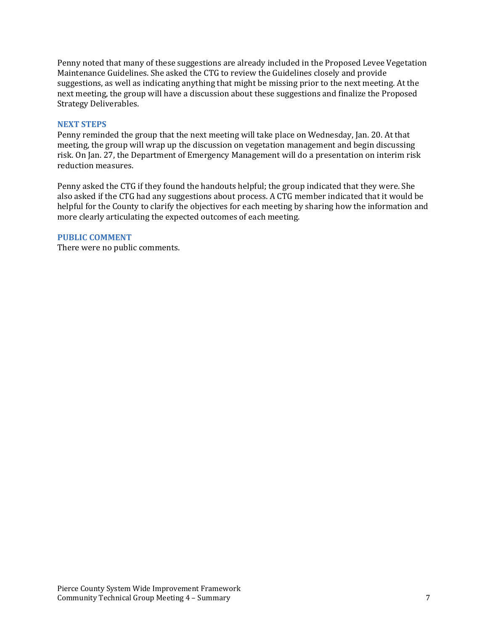Penny noted that many of these suggestions are already included in the Proposed Levee Vegetation Maintenance Guidelines. She asked the CTG to review the Guidelines closely and provide suggestions, as well as indicating anything that might be missing prior to the next meeting. At the next meeting, the group will have a discussion about these suggestions and finalize the Proposed Strategy Deliverables.

#### **NEXT STEPS**

Penny reminded the group that the next meeting will take place on Wednesday, Jan. 20. At that meeting, the group will wrap up the discussion on vegetation management and begin discussing risk. On Jan. 27, the Department of Emergency Management will do a presentation on interim risk reduction measures.

Penny asked the CTG if they found the handouts helpful; the group indicated that they were. She also asked if the CTG had any suggestions about process. A CTG member indicated that it would be helpful for the County to clarify the objectives for each meeting by sharing how the information and more clearly articulating the expected outcomes of each meeting.

#### **PUBLIC COMMENT**

There were no public comments.